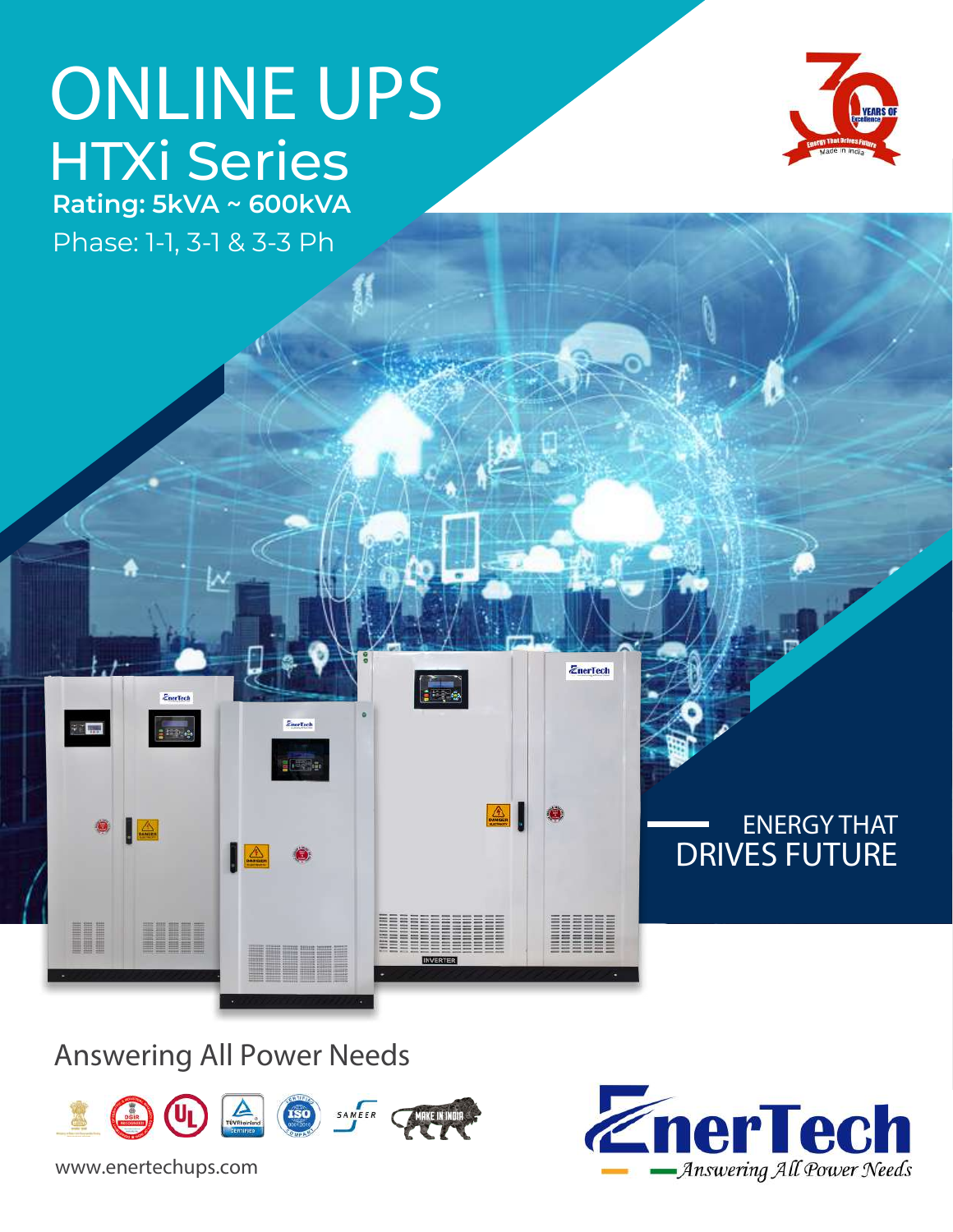# **ONLINE UPS** HTXi Series **Rating: 5kVA ~ 600kVA**

Phase: 1-1, 3-1 & 3-3 Ph

*Ener*Tech

<u> Here i sv</u>



Answering All Power Needs



EnerToch

www.enertechups.com



ENERGY THAT

**DRIVES FUTURE**

*ZnerTech* 

**BEBBEE** 

**FRA** 

986888888888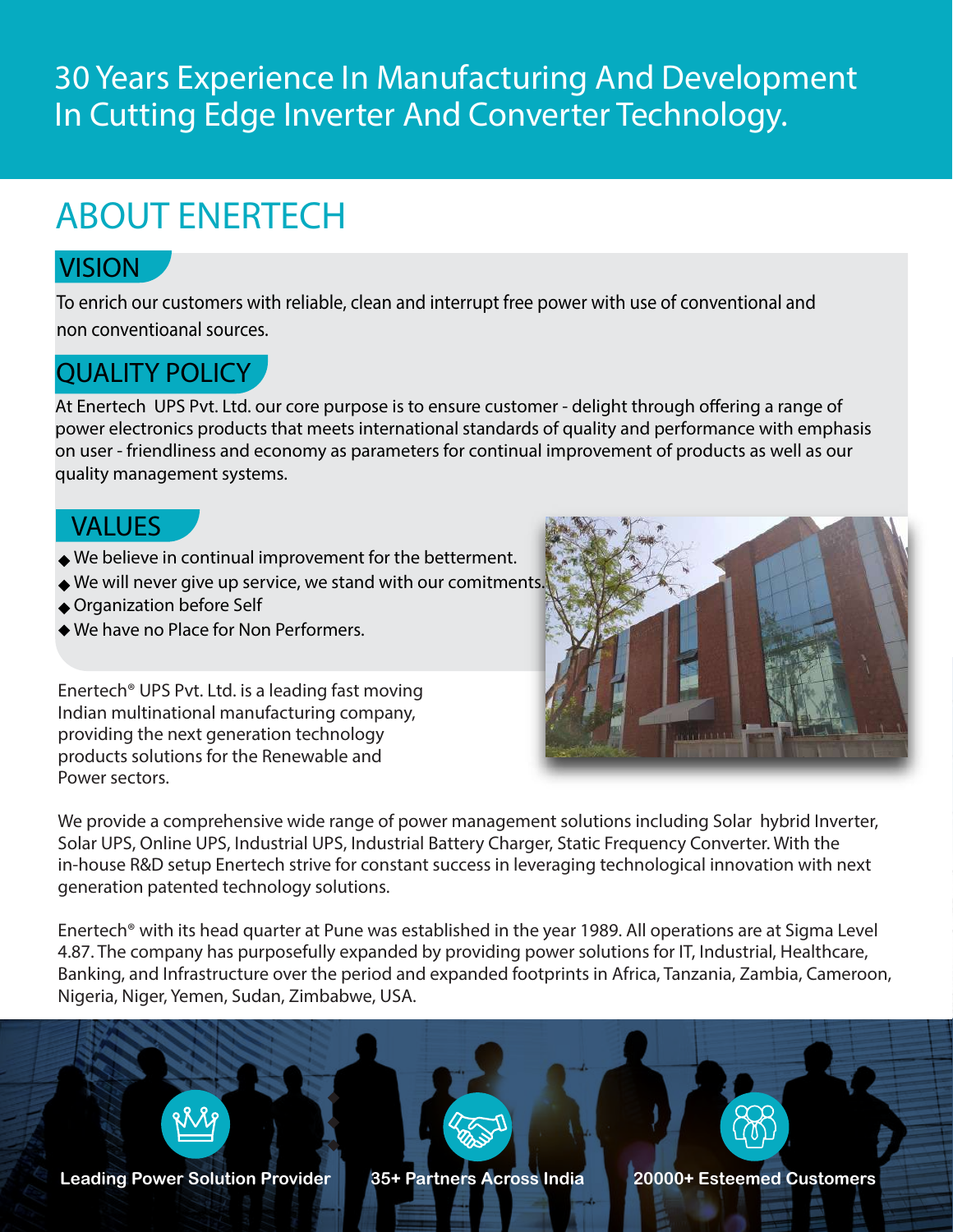### 30 Years Experience In Manufacturing And Development In Cutting Edge Inverter And Converter Technology.

# ABOUT ENERTECH

### **VISION**

*To enrich our customers with reliable, clean and interrupt free power with use of conventional and non conventioanal sources.*

### **QUALITY POLICY**

At Enertech UPS Pvt. Ltd. our core purpose is to ensure customer - delight through offering a range of power electronics products that meets international standards of quality and performance with emphasis on user - friendliness and economy as parameters for continual improvement of products as well as our quality management systems.

#### **VALUES**

- *We believe in continual improvement for the betterment.*
- *We will never give up service, we stand with our comitments.*
- *Organization before Self*
- *We have no Place for Non Performers.*

Enertech® UPS Pvt. Ltd. is a leading fast moving Indian multinational manufacturing company, providing the next generation technology products solutions for the Renewable and Power sectors.



We provide a comprehensive wide range of power management solutions including *Solar hybrid Inverter, Solar UPS, Online UPS, Industrial UPS, Industrial Battery Charger, Static Frequency Converter.* With the in-house R&D setup Enertech strive for constant success in leveraging technological innovation with next generation patented technology solutions.

Enertech® with its head quarter at Pune was established in the year 1989. All operations are at Sigma Level 4.87. The company has purposefully expanded by providing power solutions for *IT, Industrial, Healthcare, Banking, and Infrastructure* over the period and expanded footprints in *Africa, Tanzania, Zambia, Cameroon, Nigeria, Niger, Yemen, Sudan, Zimbabwe, USA.*

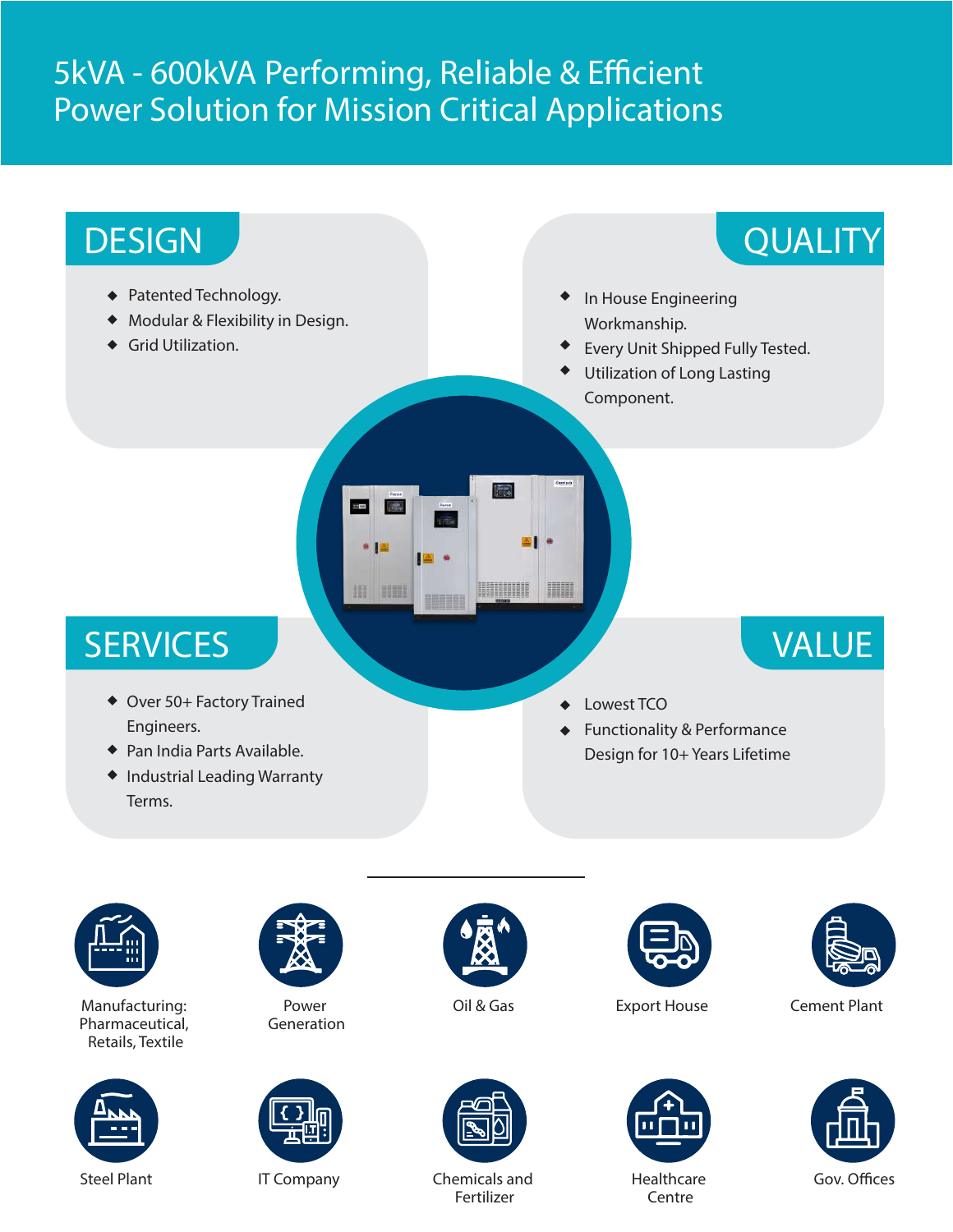## 5kVA - 600kVA Performing, Reliable & Efficient Power Solution for Mission Critical Applications





Manufacturing: Pharmaceutical, Retails, Textile





Power Generation







Fertilizer







**Centre** 



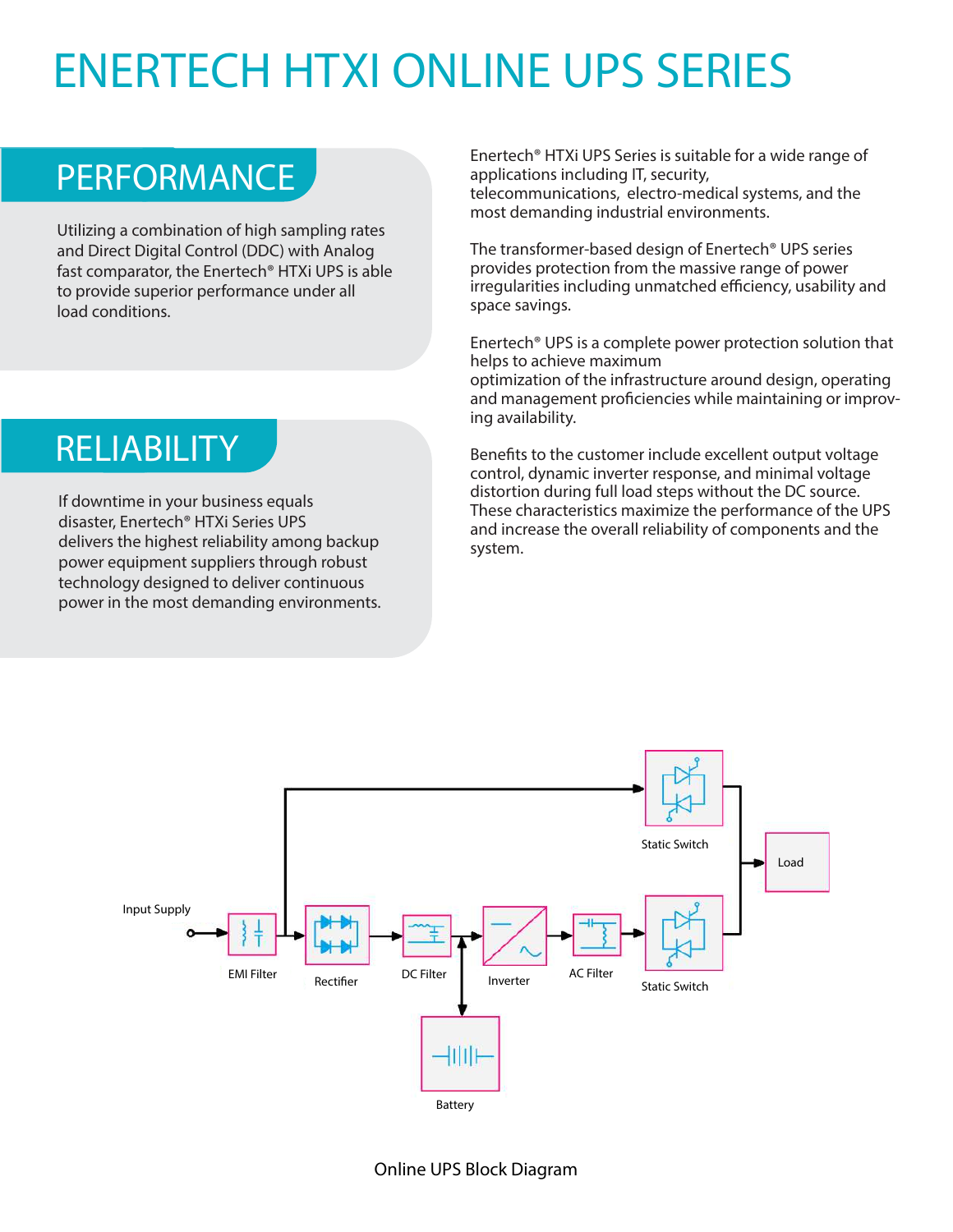# ENERTECH HTXI ONLINE UPS SERIES

# PERFORMANCE

Utilizing a combination of high sampling rates and Direct Digital Control (DDC) with Analog fast comparator, the Enertech® HTXi UPS is able to provide superior performance under all load conditions.

# **RELIABILITY**

If downtime in your business equals disaster, Enertech® HTXi Series UPS delivers the highest reliability among backup power equipment suppliers through robust technology designed to deliver continuous power in the most demanding environments. Enertech® HTXi UPS Series is suitable for a wide range of applications including IT, security, telecommunications, electro-medical systems, and the most demanding industrial environments.

The transformer-based design of Enertech® UPS series provides protection from the massive range of power irregularities including unmatched efficiency, usability and space savings.

Enertech® UPS is a complete power protection solution that helps to achieve maximum optimization of the infrastructure around design, operating and management proficiencies while maintaining or improving availability.

Benefits to the customer include excellent output voltage control, dynamic inverter response, and minimal voltage distortion during full load steps without the DC source. These characteristics maximize the performance of the UPS and increase the overall reliability of components and the system.

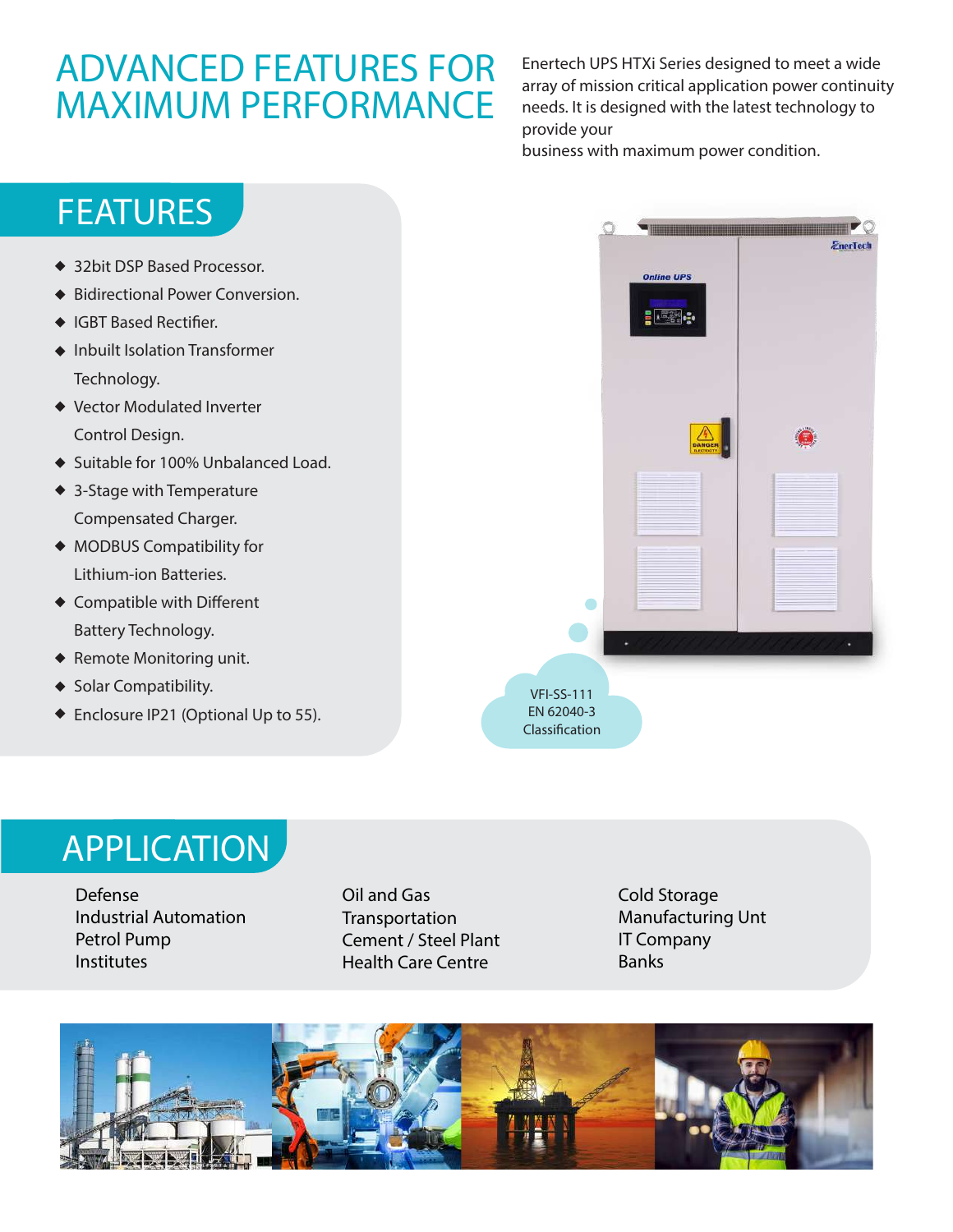## ADVANCED FEATURES FOR MAXIMUM PERFORMANCE

Enertech UPS HTXi Series designed to meet a wide array of mission critical application power continuity needs. It is designed with the latest technology to provide your

business with maximum power condition.



- ◆ Remote Monitoring unit.
- ◆ Solar Compatibility.
- ◆ Enclosure IP21 (Optional Up to 55).



## APPLICATION

Defense Industrial Automation Petrol Pump Institutes

Oil and Gas Transportation Cement / Steel Plant Health Care Centre

Cold Storage Manufacturing Unt IT Company Banks

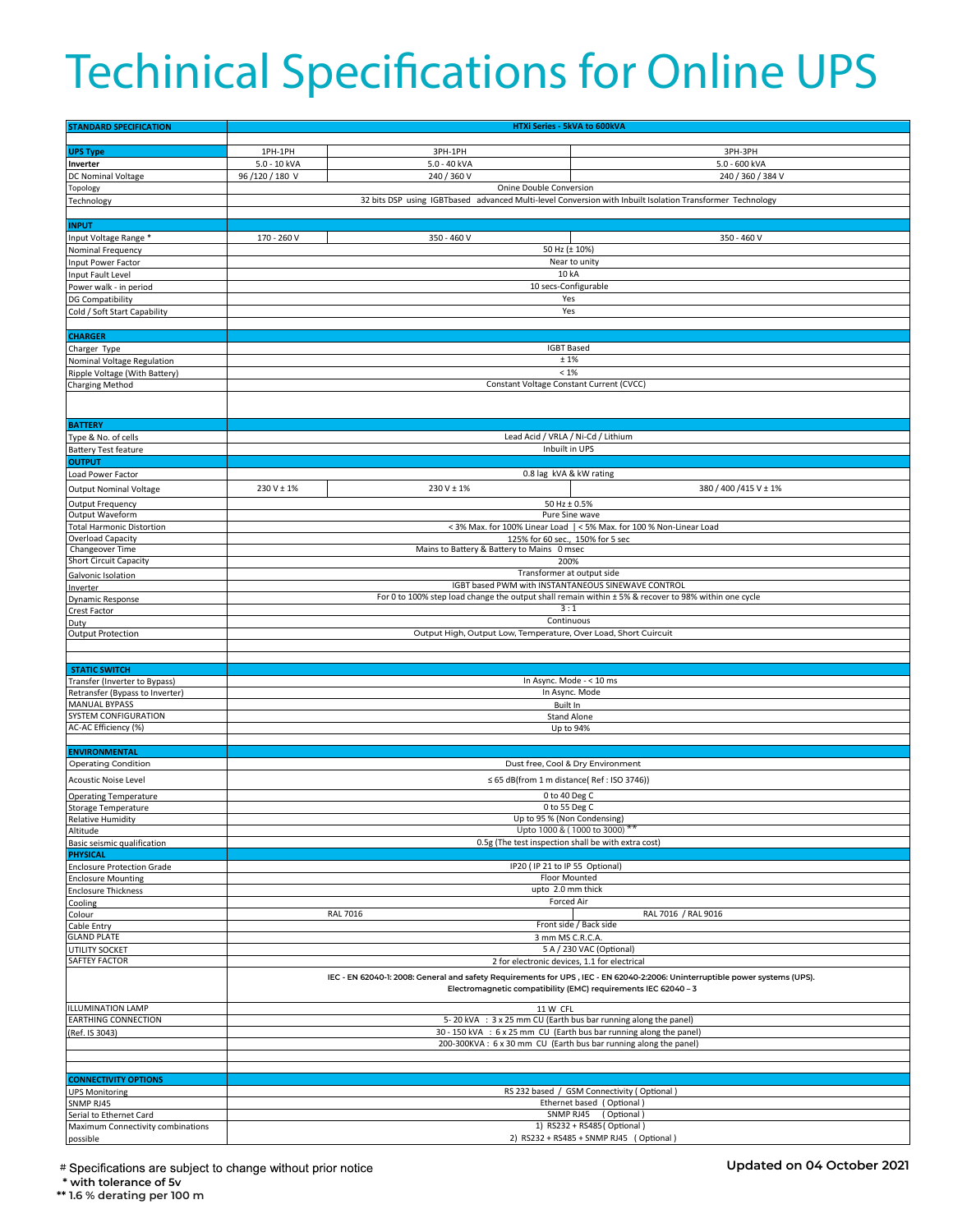# Techinical Specifications for Online UPS

| <b>STANDARD SPECIFICATION</b>                                  | HTXi Series - 5kVA to 600kVA                                                                                                                                                                   |                         |                           |
|----------------------------------------------------------------|------------------------------------------------------------------------------------------------------------------------------------------------------------------------------------------------|-------------------------|---------------------------|
|                                                                |                                                                                                                                                                                                |                         |                           |
| <b>UPS Type</b>                                                | 1PH-1PH                                                                                                                                                                                        | 3PH-1PH                 | 3PH-3PH                   |
| Inverter                                                       | 5.0 - 10 kVA                                                                                                                                                                                   | 5.0 - 40 kVA            | 5.0 - 600 kVA             |
| DC Nominal Voltage                                             | 96/120/180 V                                                                                                                                                                                   | 240 / 360 V             | 240 / 360 / 384 V         |
| Topology                                                       | Onine Double Conversion                                                                                                                                                                        |                         |                           |
| Technology                                                     | 32 bits DSP using IGBTbased advanced Multi-level Conversion with Inbuilt Isolation Transformer Technology                                                                                      |                         |                           |
| <b>INPUT</b>                                                   |                                                                                                                                                                                                |                         |                           |
| Input Voltage Range *                                          | 170 - 260 V                                                                                                                                                                                    | 350 - 460 V             | 350 - 460 V               |
| Nominal Frequency                                              |                                                                                                                                                                                                | 50 Hz (± 10%)           |                           |
| Input Power Factor                                             | Near to unity                                                                                                                                                                                  |                         |                           |
| Input Fault Level                                              | 10 kA                                                                                                                                                                                          |                         |                           |
| Power walk - in period                                         | 10 secs-Configurable                                                                                                                                                                           |                         |                           |
| DG Compatibility                                               | Yes                                                                                                                                                                                            |                         |                           |
| Cold / Soft Start Capability                                   | Yes                                                                                                                                                                                            |                         |                           |
| <b>CHARGER</b>                                                 |                                                                                                                                                                                                |                         |                           |
| Charger Type                                                   | <b>IGBT Based</b>                                                                                                                                                                              |                         |                           |
| Nominal Voltage Regulation                                     | ±1%                                                                                                                                                                                            |                         |                           |
| Ripple Voltage (With Battery)                                  | $< 1\%$                                                                                                                                                                                        |                         |                           |
| <b>Charging Method</b>                                         | Constant Voltage Constant Current (CVCC)                                                                                                                                                       |                         |                           |
|                                                                |                                                                                                                                                                                                |                         |                           |
|                                                                |                                                                                                                                                                                                |                         |                           |
| <b>BATTERY</b>                                                 |                                                                                                                                                                                                |                         |                           |
| Type & No. of cells                                            | Lead Acid / VRLA / Ni-Cd / Lithium<br>Inbuilt in UPS                                                                                                                                           |                         |                           |
| <b>Battery Test feature</b><br><b>OUTPUT</b>                   |                                                                                                                                                                                                |                         |                           |
| Load Power Factor                                              |                                                                                                                                                                                                | 0.8 lag kVA & kW rating |                           |
| <b>Output Nominal Voltage</b>                                  | 230 V ± 1%                                                                                                                                                                                     | 230 V ± 1%              | 380 / 400 / 415 V ± 1%    |
| <b>Output Frequency</b>                                        |                                                                                                                                                                                                | 50 Hz ± 0.5%            |                           |
| Output Waveform                                                |                                                                                                                                                                                                | Pure Sine wave          |                           |
| <b>Total Harmonic Distortion</b>                               | < 3% Max. for 100% Linear Load   < 5% Max. for 100 % Non-Linear Load                                                                                                                           |                         |                           |
| Overload Capacity                                              | 125% for 60 sec., 150% for 5 sec                                                                                                                                                               |                         |                           |
| Changeover Time                                                | Mains to Battery & Battery to Mains 0 msec                                                                                                                                                     |                         |                           |
| <b>Short Circuit Capacity</b>                                  | 200%<br>Transformer at output side                                                                                                                                                             |                         |                           |
| Galvonic Isolation                                             | IGBT based PWM with INSTANTANEOUS SINEWAVE CONTROL                                                                                                                                             |                         |                           |
| Inverter<br><b>Dynamic Response</b>                            | For 0 to 100% step load change the output shall remain within ± 5% & recover to 98% within one cycle                                                                                           |                         |                           |
| Crest Factor                                                   | 3:1                                                                                                                                                                                            |                         |                           |
| Duty                                                           | Continuous                                                                                                                                                                                     |                         |                           |
| Output Protection                                              | Output High, Output Low, Temperature, Over Load, Short Cuircuit                                                                                                                                |                         |                           |
|                                                                |                                                                                                                                                                                                |                         |                           |
| <b>STATIC SWITCH</b>                                           |                                                                                                                                                                                                |                         |                           |
| Transfer (Inverter to Bypass)                                  | In Async. Mode - < 10 ms                                                                                                                                                                       |                         |                           |
| Retransfer (Bypass to Inverter)                                |                                                                                                                                                                                                | In Async. Mode          |                           |
| <b>MANUAL BYPASS</b>                                           | Built In                                                                                                                                                                                       |                         |                           |
| SYSTEM CONFIGURATION                                           | <b>Stand Alone</b>                                                                                                                                                                             |                         |                           |
| AC-AC Efficiency (%)                                           | Up to 94%                                                                                                                                                                                      |                         |                           |
| <b>ENVIRONMENTAL</b>                                           |                                                                                                                                                                                                |                         |                           |
| <b>Operating Condition</b>                                     | Dust free, Cool & Dry Environment                                                                                                                                                              |                         |                           |
| <b>Acoustic Noise Level</b>                                    | $\leq$ 65 dB(from 1 m distance(Ref : ISO 3746))                                                                                                                                                |                         |                           |
| <b>Operating Temperature</b>                                   | 0 to 40 Deg C                                                                                                                                                                                  |                         |                           |
| Storage Temperature                                            | 0 to 55 Deg C                                                                                                                                                                                  |                         |                           |
| <b>Relative Humidity</b>                                       | Up to 95 % (Non Condensing)                                                                                                                                                                    |                         |                           |
| Altitude                                                       | Upto 1000 & (1000 to 3000)                                                                                                                                                                     |                         |                           |
| Basic seismic qualification                                    | 0.5g (The test inspection shall be with extra cost)                                                                                                                                            |                         |                           |
| <b>PHYSICAL</b>                                                | IP20 (IP 21 to IP 55 Optional)                                                                                                                                                                 |                         |                           |
| <b>Enclosure Protection Grade</b><br><b>Enclosure Mounting</b> | Floor Mounted                                                                                                                                                                                  |                         |                           |
| <b>Enclosure Thickness</b>                                     | upto 2.0 mm thick                                                                                                                                                                              |                         |                           |
| Cooling                                                        | <b>Forced Air</b>                                                                                                                                                                              |                         |                           |
| Colour                                                         | <b>RAL 7016</b><br>RAL 7016 / RAL 9016                                                                                                                                                         |                         |                           |
| Cable Entry                                                    | Front side / Back side                                                                                                                                                                         |                         |                           |
| <b>GLAND PLATE</b>                                             | 3 mm MS C.R.C.A.<br>5 A / 230 VAC (Optional)                                                                                                                                                   |                         |                           |
| UTILITY SOCKET<br>SAFTEY FACTOR                                | 2 for electronic devices, 1.1 for electrical                                                                                                                                                   |                         |                           |
|                                                                | IEC - EN 62040-1: 2008: General and safety Requirements for UPS, IEC - EN 62040-2:2006: Uninterruptible power systems (UPS).<br>Electromagnetic compatibility (EMC) requirements IEC 62040 - 3 |                         |                           |
| <b>ILLUMINATION LAMP</b>                                       | 11 W CFL                                                                                                                                                                                       |                         |                           |
| EARTHING CONNECTION                                            | 5-20 kVA : 3 x 25 mm CU (Earth bus bar running along the panel)                                                                                                                                |                         |                           |
| (Ref. IS 3043)                                                 | 30 - 150 kVA : 6 x 25 mm CU (Earth bus bar running along the panel)                                                                                                                            |                         |                           |
|                                                                | 200-300KVA: 6 x 30 mm CU (Earth bus bar running along the panel)                                                                                                                               |                         |                           |
|                                                                |                                                                                                                                                                                                |                         |                           |
| <b>CONNECTIVITY OPTIONS</b>                                    |                                                                                                                                                                                                |                         |                           |
| <b>UPS Monitoring</b>                                          | RS 232 based / GSM Connectivity (Optional)                                                                                                                                                     |                         |                           |
| SNMP RJ45                                                      |                                                                                                                                                                                                |                         | Ethernet based (Optional) |
| Serial to Ethernet Card                                        | SNMP RJ45<br>(Optional)                                                                                                                                                                        |                         |                           |
| Maximum Connectivity combinations                              | 1) RS232 + RS485 (Optional)                                                                                                                                                                    |                         |                           |
| possible                                                       | 2) RS232 + RS485 + SNMP RJ45 (Optional)                                                                                                                                                        |                         |                           |

# Specifications are subject to change without prior notice

 **\* with tolerance of 5v**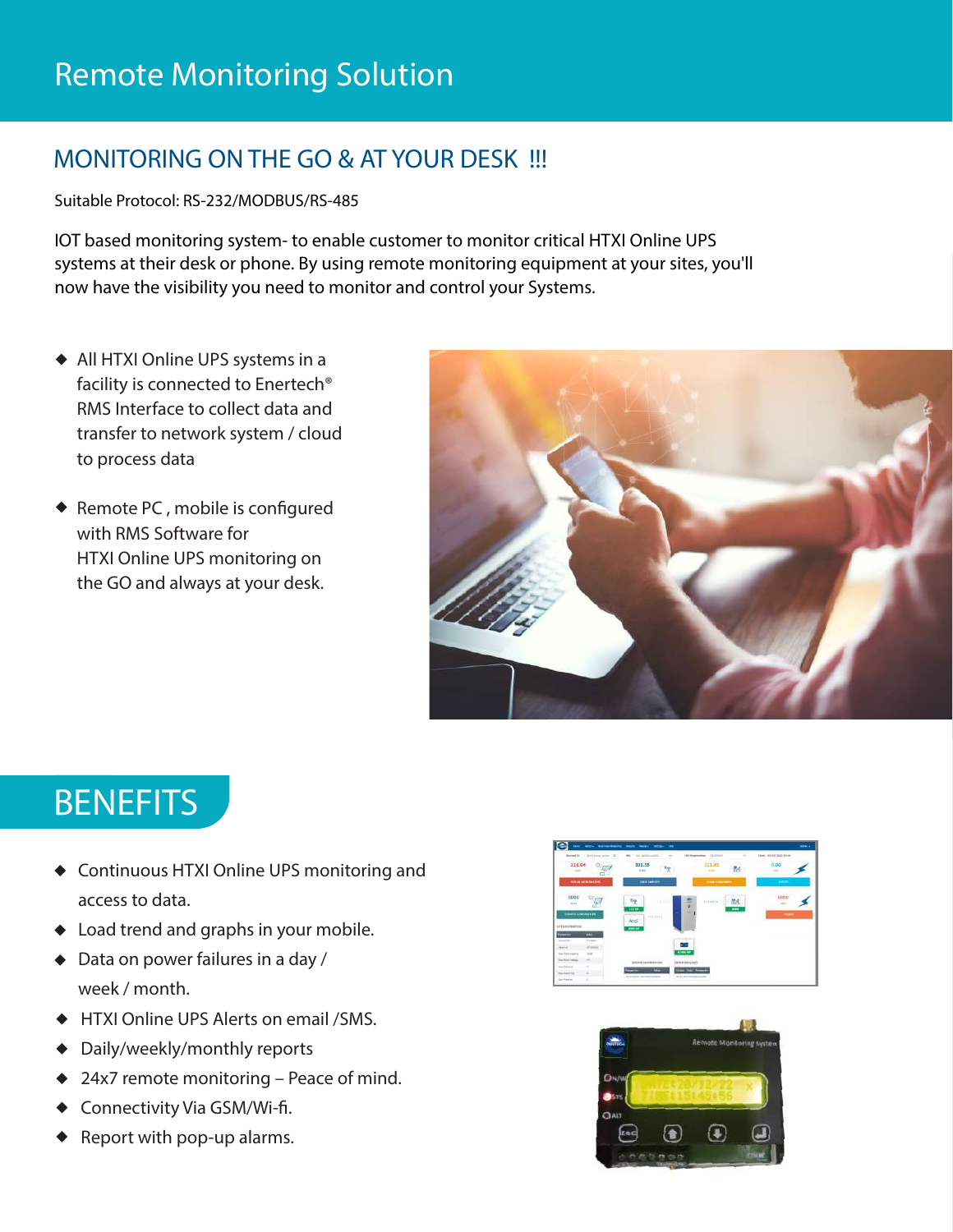#### **MONITORING ON THE GO & AT YOUR DESK !!!**

Suitable Protocol: RS-232/MODBUS/RS-485

IOT based monitoring system- to enable customer to monitor critical HTXI Online UPS systems at their desk or phone. By using remote monitoring equipment at your sites, you'll now have the visibility you need to monitor and control your Systems.

- *All HTXI Online UPS systems in a facility is connected to Enertech® RMS Interface to collect data and transfer to network system / cloud to process data*
- ◆ Remote PC, mobile is configured *with RMS Software for HTXI Online UPS monitoring on the GO and always at your desk.*



# **BENEFITS**

- *Continuous HTXI Online UPS monitoring and access to data.*
- *Load trend and graphs in your mobile.*
- *Data on power failures in a day / week / month.*
- *HTXI Online UPS Alerts on email /SMS.*
- *Daily/weekly/monthly reports*
- *24x7 remote monitoring Peace of mind.*
- ◆ Connectivity Via GSM/Wi-fi.
- *Report with pop-up alarms.*